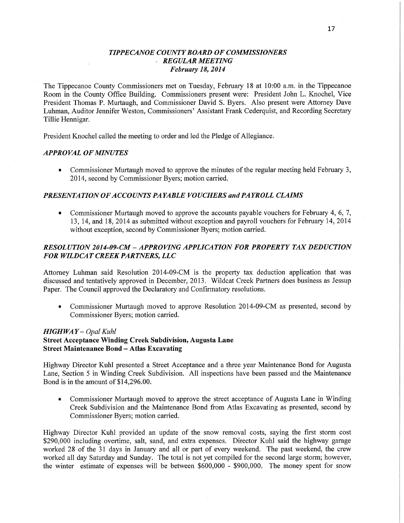## *TIPPE CANOE COUNTY BOARD* OF *COMMISSIONERS*  .V *REGULAR MEETING February* 18, *2014*

The Tippecanoe County Commissioners met on Tuesday, February 18 at 10:00 a.m. in the Tippecanoe Room in the County Office Building. Commissioners present were: President John L. Knochel, Vice President Thomas P. Murtaugh, and Commissioner **David** S. Byers. Also present were Attorney Dave Luhman, Auditor Jennifer Weston, Commissioners' Assistant Frank Cederquist, and Recording Secretary Tillie Hennigar.

President Knochel called the meeting to order and led the Pledge of Allegiance.

#### *APPROVAL* OF *MINUTES*

**0** Commissioner Murtaugh moved to approve the minutes of the regular meeting held February 3, 2014, second by Commissioner Byers; motion carried.

#### *PRESENTATION* OF *ACCO* UNT *S* PA *YABLE VOUCHERS* and PA *YROLL CLAIMS*

**0** Commissioner Murtaugh moved to approve the accounts payable vouchers for February 4, 6, 7, 13, 14, and 18, 2014 as submitted without exception and payroll vouchers for February 14, 2014 without exception, second by Commissioner Byers; motion carried.

# *RESOLUTION 2014-09-CM* **—** *APPROVING APPLICATION* FOR *PROPERTY* TAX *DEDUCTION*  FOR *WILDCAT CREEK PARTNERS,* LLC

Attorney Luhman said Resolution 2014-09-CM is the property tax deduction application that was discussed and tentatively approved in December, 2013. Wildcat Creek Partners does business as Jessup Paper. The Council approved the Declaratory and Confirmatory resolutions.

**0** Commissioner Murtaugh moved to approve Resolution 2014-09-CM as presented, second by Commissioner Byers; motion carried.

#### *HIGH* WA *Y — Opal Kuhl*

## **Street Acceptance** Winding **Creek** Subdivision, **Augusta Lane Street Maintenance** Bond *—* Atlas **Excavating**

Highway Director Kuhl presented a Street Acceptance and a three year Maintenance Bond for Augusta Lane, Section 5 in Winding Creek Subdivision. All inspections have been passed and the Maintenance Bond is in the amount of \$14,296.00.

**0** Commissioner Murtaugh moved to approve the street acceptance of Augusta Lane in Winding Creek Subdivision and the Maintenance Bond from Atlas Excavating as presented, second by Commissioner Byers; motion carried.

Highway Director Kuhl provided an update of the snow removal costs, saying the first storm cost \$290,000 including overtime, salt, sand, and extra expenses. Director Kuhl said the highway garage worked 28 of the 31 days in January and all or part of every weekend. The past weekend, the crew worked all day Saturday and Sunday. The total is not yet compiled for the second large storm; however, the Winter estimate of expenses will be between \$600,000 **—** \$900,000. The money spent for snow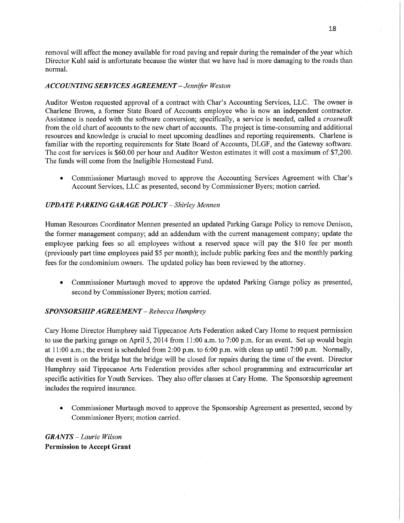removal will affect the money available for road paving and repair during the remainder of the year which Director Kuhl said is unfortunate because the winter that we have had is more damaging to the roads than normal.

## *ACCOUNTING* SER VI CES *AGREEMENT — Jennifer Weston*

Auditor Weston requested approval of a contract with Char's Accounting Services, LLC. The owner is Charlene Brown, a former State Board of Accounts employee who is now an independent contractor. Assistance is needed with the software conversion; specifically, a service is needed, called **a** *crosswalk*  from the old chart of accounts to the new chart of accounts. The project is time-consuming and additional resources and knowledge is crucial to meet upcoming deadlines and reporting requirements. Charlene is familiar with the reporting requirements for State Board of Accounts, DLGF, and the Gateway software. The cost for services is \$60.00 per hour and Auditor Weston estimates it will cost a maximum of \$7,200. The funds will come from the Ineligible Homestead Fund.

**0** Commissioner Murtaugh moved to approve the Accounting Services Agreement with Char's Account Services, LLC as presented, second by Commissioner Byers; motion carried.

## *UPDATE PARKING GARAGE POLICY* — *Shirley Mennen*

Human Resources Coordinator Mennen presented an updated Parking Garage Policy to remove Denison, the former management company; add an addendum with the current management company; update the employee parking fees so all employees without a reserved **space** will pay the \$10 fee per month (previously part time employees paid \$5 per month); include public parking fees and the monthly parking fees for the condominium owners. The updated policy has been reviewed by the attorney.

**0** Commissioner Murtaugh moved to approve the updated Parking Garage policy as presented, second by Commissioner Byers; motion carried.

#### *SPONSORSHIP A GREEMEN T* **—** *Rebecca Humphrey*

Cary Home Director Humphrey said Tippecanoe Arts Federation asked Cary Home to request permission to use the parking garage on April 5, 2014 from 11:00 a.m. to 7:00 p.m. for an event. Set up would begin at  $11:00$  a.m.; the event is scheduled from 2:00 p.m. to  $6:00$  p.m. with clean up until 7:00 p.m. Normally, the event is on the bridge but the bridge will be closed for repairs during the time of the event. Director Humphrey said Tippecanoe Arts Federation provides after school programming and extracurricular art specific activities for Youth Services. They also offer classes at Cary Home. The Sponsorship agreemen<sup>t</sup> includes the required insurance.

• Commissioner Murtaugh moved to approve the Sponsorship Agreement as presented, second by Commissioner Byers; motion carried.

*GRANTS* **—** *Laurie Wilson*  **Permission** to **Accept Grant**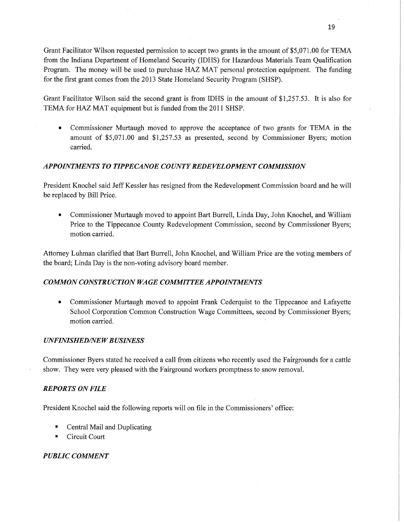Grant Facilitator Wilson requested permission to accept two grants in the amount of \$5,071.00 for TEMA from the Indiana Department of Homeland Security (IDHS) for Hazardous Materials Team Qualification Program. The money will be used to purchase HAZ MAT personal protection equipment. The funding for the first grant comes from the 2013 State Homeland Security Program (SHSP).

Grant Facilitator Wilson said the second grant is from IDHS in the amount of \$1,257.53. It is also for TEMA for HAZ MAT equipment but is funded from the 2011 SHSP.

**0** Commissioner Murtaugh nioved to approve the acceptance of two grants for TEMA in the amount of \$5,071.00 and \$1,257.53 as presented, second by Commissioner Byers; motion carried.

# *APPOINTMENTS T 0 T IPPE CANOE* C0 *UNTY REDEVEL 0PMENT COMMISSION*

President Knochel said Jeff Kessler has resigned from the Redevelopment Commission board and he will be replaced by Bill Price.

**0** Commissioner Murtaugh moved to appoint Bart Burrell, Linda Day, John Knochel, and William Price to the Tippecanoe County Redevelopment Commission, second by Commissioner Byers; motion carried.

Attorney Luhman clarified that Bart Burrell, John Knochel, and William Price are the voting members of the board; Linda Day is the non-voting advisory board member.

# *COMMON CONSTRUCTION* WA GE *COMMITTEE APPOINTMENTS*

**0** Commissioner Murtaugh moved to appoint **Frank** Cederquist to the Tippecanoe and Lafayette School Corporation Common Construction Wage Committees, second by Commissioner Byers; motion carried.

#### *UNFINISHED/NEW BUSINESS*

Commissioner Byers stated he received a call from citizens who recently used the Fairgrounds for a cattle show. They were very pleased with the Fairground workers promptness to snow removal.

## *REPORTS* ON *FILE*

President Knochel said the following reports will on file in the Commissioners' office:

- **Central Mail and Duplicating**
- **I** Circuit Court

## *PUBLIC COMMENT*